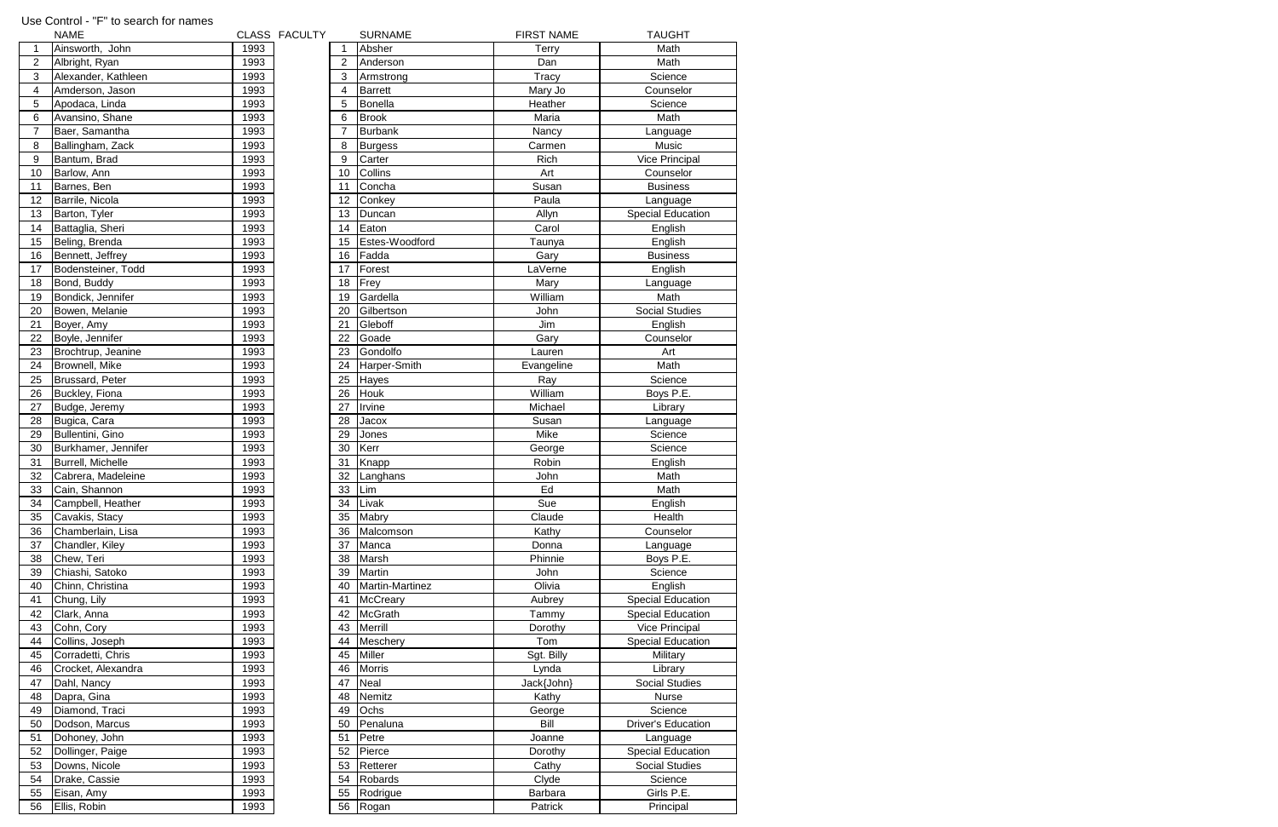|                  | <b>NAME</b>         |      | CLASS FACULTY |                | <b>SURNAME</b>  | <b>FIRST NAME</b> | <b>TAUGHT</b>             |
|------------------|---------------------|------|---------------|----------------|-----------------|-------------------|---------------------------|
| $\overline{1}$   | Ainsworth, John     | 1993 |               |                | Absher          | <b>Terry</b>      | Math                      |
| $\overline{2}$   | Albright, Ryan      | 1993 |               | $\overline{2}$ | Anderson        | Dan               | Math                      |
| 3                | Alexander, Kathleen | 1993 |               | 3              | Armstrong       | Tracy             | Science                   |
| $\overline{4}$   | Amderson, Jason     | 1993 |               | 4              | <b>Barrett</b>  | Mary Jo           | Counselor                 |
| 5                | Apodaca, Linda      | 1993 |               | 5              | Bonella         | Heather           | Science                   |
| 6                | Avansino, Shane     | 1993 |               | 6              | <b>Brook</b>    | Maria             | Math                      |
| $\overline{7}$   | Baer, Samantha      | 1993 |               | $\overline{7}$ | <b>Burbank</b>  | Nancy             | Language                  |
| 8                | Ballingham, Zack    | 1993 |               | 8              | <b>Burgess</b>  | Carmen            | Music                     |
| $\boldsymbol{9}$ | Bantum, Brad        | 1993 |               | 9              | Carter          | Rich              | Vice Principal            |
| 10 <sup>°</sup>  | Barlow, Ann         | 1993 |               | 10             | Collins         | Art               | Counselor                 |
| 11               | Barnes, Ben         | 1993 |               | 11             | Concha          | Susan             | <b>Business</b>           |
| 12               | Barrile, Nicola     | 1993 |               | 12             | Conkey          | Paula             | Language                  |
| 13               | Barton, Tyler       | 1993 |               | 13             | Duncan          | Allyn             | <b>Special Education</b>  |
| 14               | Battaglia, Sheri    | 1993 |               | 14             | Eaton           | Carol             | English                   |
| 15               | Beling, Brenda      | 1993 |               | 15             | Estes-Woodford  | Taunya            | English                   |
| 16               | Bennett, Jeffrey    | 1993 |               | 16             | Fadda           | Gary              | <b>Business</b>           |
| 17               | Bodensteiner, Todd  | 1993 |               | 17             | Forest          | LaVerne           | English                   |
| 18               | Bond, Buddy         | 1993 |               | 18             | Frey            | Mary              | Language                  |
| 19               | Bondick, Jennifer   | 1993 |               | 19             | Gardella        | William           | Math                      |
| 20               | Bowen, Melanie      | 1993 |               | 20             | Gilbertson      | John              | <b>Social Studies</b>     |
| 21               | Boyer, Amy          | 1993 |               | 21             | Gleboff         | Jim               | English                   |
| 22               | Boyle, Jennifer     | 1993 |               | 22             | Goade           | Gary              | Counselor                 |
| <u>23</u>        | Brochtrup, Jeanine  | 1993 |               | 23             | Gondolfo        | Lauren            | Art                       |
| 24               | Brownell, Mike      | 1993 |               | 24             | Harper-Smith    | Evangeline        | Math                      |
| 25               | Brussard, Peter     | 1993 |               | 25             | Hayes           | Ray               | Science                   |
| 26               | Buckley, Fiona      | 1993 |               | 26             | <b>Houk</b>     | William           | Boys P.E.                 |
| 27               | Budge, Jeremy       | 1993 |               | 27             | Irvine          | Michael           | Library                   |
| 28               | Bugica, Cara        | 1993 |               | 28             | Jacox           | Susan             | Language                  |
| 29               | Bullentini, Gino    | 1993 |               | 29             | Jones           | Mike              | Science                   |
| 30               | Burkhamer, Jennifer | 1993 |               | 30             | Kerr            | George            | Science                   |
| 31               | Burrell, Michelle   | 1993 |               | 31             | Knapp           | Robin             | English                   |
| 32               | Cabrera, Madeleine  | 1993 |               | 32             | Langhans        | John              | Math                      |
| 33               | Cain, Shannon       | 1993 |               | 33             | Lim             | Ed                | Math                      |
| 34               | Campbell, Heather   | 1993 |               | 34             | <b>ILivak</b>   | Sue               | English                   |
| 35               | Cavakis, Stacy      | 1993 |               | 35             | Mabry           | Claude            | Health                    |
| 36               | Chamberlain, Lisa   | 1993 |               | 36             | Malcomson       | Kathy             | Counselor                 |
| 37               | Chandler, Kiley     | 1993 |               | 37             | Manca           | Donna             | Language                  |
| 38               | Chew, Teri          | 1993 |               | 38             | Marsh           | Phinnie           | Boys P.E.                 |
| 39               | Chiashi, Satoko     | 1993 |               | 39             | Martin          | John              | Science                   |
| 40               | Chinn, Christina    | 1993 |               | 40             | Martin-Martinez | Olivia            | English                   |
| 41               | Chung, Lily         | 1993 |               | 41             | McCreary        | Aubrey            | <b>Special Education</b>  |
| 42               | Clark, Anna         | 1993 |               | 42             | McGrath         | Tammy             | <b>Special Education</b>  |
| 43               | Cohn, Cory          | 1993 |               | 43             | Merrill         | Dorothy           | <b>Vice Principal</b>     |
| 44               | Collins, Joseph     | 1993 |               | 44             | Meschery        | Tom               | <b>Special Education</b>  |
| 45               | Corradetti, Chris   | 1993 |               | 45             | <b>Miller</b>   | Sgt. Billy        | Military                  |
| 46               | Crocket, Alexandra  | 1993 |               | 46             | <b>Morris</b>   | Lynda             | Library                   |
| 47               | Dahl, Nancy         | 1993 |               | 47             | Neal            | Jack{John}        | <b>Social Studies</b>     |
| 48               | Dapra, Gina         | 1993 |               | 48             | Nemitz          | Kathy             | Nurse                     |
| 49               | Diamond, Traci      | 1993 |               | 49             | Ochs            | George            | Science                   |
| 50               | Dodson, Marcus      | 1993 |               | 50             | Penaluna        | Bill              | <b>Driver's Education</b> |
| 51               | Dohoney, John       | 1993 |               | 51             | Petre           | Joanne            | Language                  |
| 52               | Dollinger, Paige    | 1993 |               | 52             | Pierce          | Dorothy           | <b>Special Education</b>  |
| 53               | Downs, Nicole       | 1993 |               | 53             | Retterer        | Cathy             | <b>Social Studies</b>     |
| 54               | Drake, Cassie       | 1993 |               | 54             | Robards         | Clyde             | Science                   |
| 55               | Eisan, Amy          | 1993 |               | 55             | Rodrigue        | Barbara           | Girls P.E.                |
| 56               | Ellis, Robin        | 1993 |               | 56             | Rogan           | Patrick           | Principal                 |

## Use Control - "F" to search for names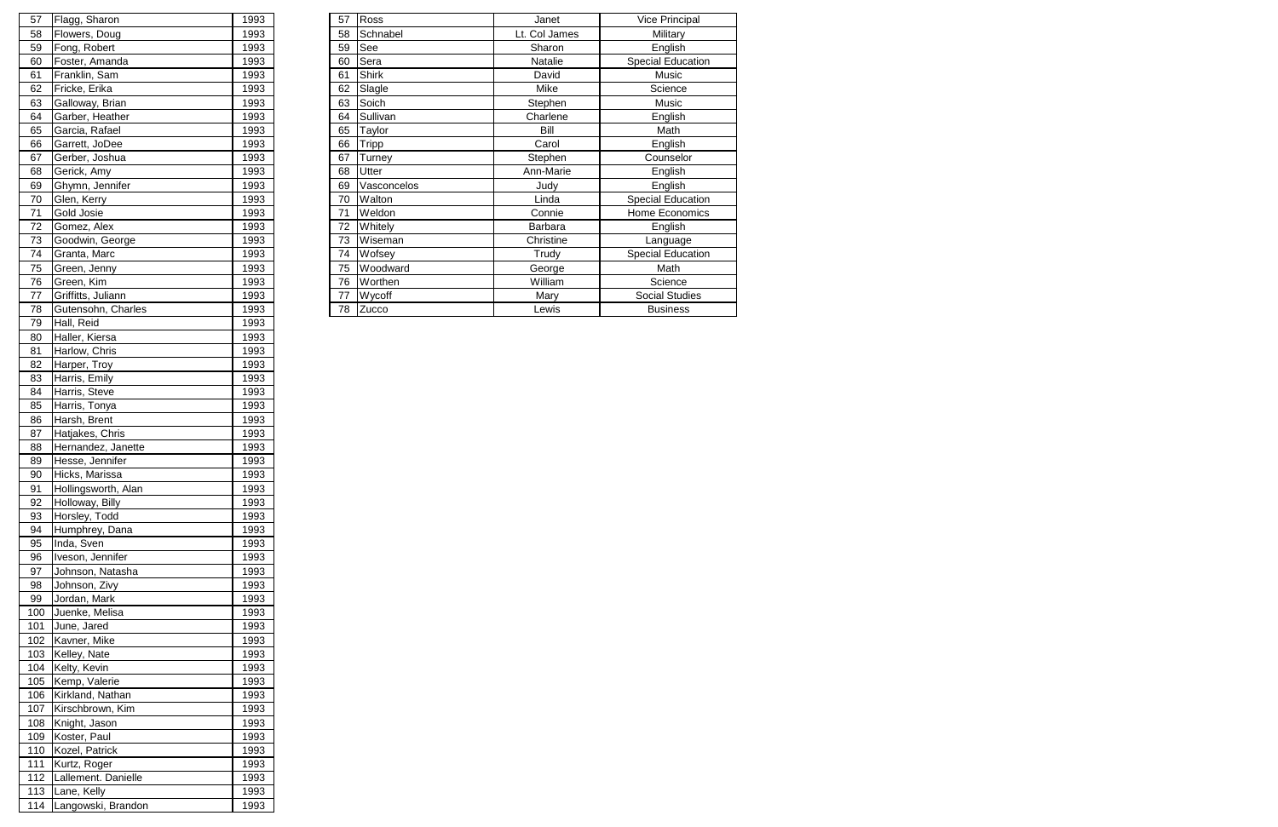| 57 | Flagg, Sharon      | 1993 | 57 | <b>Ross</b>  | Janet          | <b>Vice Principal</b>    |
|----|--------------------|------|----|--------------|----------------|--------------------------|
| 58 | Flowers, Doug      | 1993 | 58 | Schnabel     | Lt. Col James  | Military                 |
| 59 | Fong, Robert       | 1993 | 59 | See          | Sharon         | English                  |
| 60 | Foster, Amanda     | 1993 | 60 | Sera         | Natalie        | Special Education        |
| 61 | Franklin, Sam      | 1993 | 61 | <b>Shirk</b> | David          | Music                    |
| 62 | Fricke, Erika      | 1993 | 62 | Slagle       | Mike           | Science                  |
| 63 | Galloway, Brian    | 1993 | 63 | Soich        | Stephen        | Music                    |
| 64 | Garber, Heather    | 1993 | 64 | Sullivan     | Charlene       | English                  |
| 65 | Garcia, Rafael     | 1993 | 65 | Taylor       | Bill           | Math                     |
| 66 | Garrett, JoDee     | 1993 | 66 | Tripp        | Carol          | English                  |
| 67 | Gerber, Joshua     | 1993 | 67 | Turney       | Stephen        | Counselor                |
| 68 | Gerick, Amy        | 1993 | 68 | Utter        | Ann-Marie      | English                  |
| 69 | Ghymn, Jennifer    | 1993 | 69 | Vasconcelos  | Judy           | English                  |
| 70 | Glen, Kerry        | 1993 | 70 | Walton       | Linda          | <b>Special Education</b> |
| 71 | Gold Josie         | 1993 | 71 | Weldon       | Connie         | Home Economics           |
| 72 | Gomez, Alex        | 1993 | 72 | Whitely      | <b>Barbara</b> | English                  |
| 73 | Goodwin, George    | 1993 | 73 | Wiseman      | Christine      | Language                 |
| 74 | Granta, Marc       | 1993 | 74 | Wofsey       | Trudy          | <b>Special Education</b> |
| 75 | Green, Jenny       | 1993 | 75 | Woodward     | George         | Math                     |
| 76 | Green, Kim         | 1993 | 76 | Worthen      | William        | Science                  |
| 77 | Griffitts, Juliann | 1993 | 77 | Wycoff       | Mary           | <b>Social Studies</b>    |
| 78 | Gutensohn, Charles | 1993 | 78 | Zucco        | Lewis          | <b>Business</b>          |
|    |                    |      |    |              |                |                          |

| 1993<br>1993<br>1993<br>1993<br>1993<br>1993<br>1993<br>1993<br>1993<br>1993<br>1993<br>1993<br>1993<br>1993<br>1993<br>1993<br>1993<br>1993<br>1993<br>1993<br>1993 |
|----------------------------------------------------------------------------------------------------------------------------------------------------------------------|
|                                                                                                                                                                      |
|                                                                                                                                                                      |
|                                                                                                                                                                      |
|                                                                                                                                                                      |
|                                                                                                                                                                      |
|                                                                                                                                                                      |
|                                                                                                                                                                      |
|                                                                                                                                                                      |
|                                                                                                                                                                      |
|                                                                                                                                                                      |
|                                                                                                                                                                      |
|                                                                                                                                                                      |
|                                                                                                                                                                      |
|                                                                                                                                                                      |
|                                                                                                                                                                      |
|                                                                                                                                                                      |
|                                                                                                                                                                      |
|                                                                                                                                                                      |
|                                                                                                                                                                      |
|                                                                                                                                                                      |
|                                                                                                                                                                      |
| 1993                                                                                                                                                                 |
| 1993                                                                                                                                                                 |
| 1993                                                                                                                                                                 |
| 1993                                                                                                                                                                 |
| 1993                                                                                                                                                                 |
| 1993                                                                                                                                                                 |
| 1993                                                                                                                                                                 |
| 1993                                                                                                                                                                 |
| 1993                                                                                                                                                                 |
| 1993                                                                                                                                                                 |
| 1993                                                                                                                                                                 |
| 1993                                                                                                                                                                 |
| 1993                                                                                                                                                                 |
| 1993                                                                                                                                                                 |
| 1993                                                                                                                                                                 |
| 1993                                                                                                                                                                 |
| 1993                                                                                                                                                                 |
| 1993                                                                                                                                                                 |
| 1993                                                                                                                                                                 |
| 1993                                                                                                                                                                 |
| 1993                                                                                                                                                                 |
| 1993                                                                                                                                                                 |
|                                                                                                                                                                      |
|                                                                                                                                                                      |
| 1993                                                                                                                                                                 |
| 1993                                                                                                                                                                 |
| 1993                                                                                                                                                                 |
| 1993                                                                                                                                                                 |
| 1993                                                                                                                                                                 |
| 1993                                                                                                                                                                 |
| 1993                                                                                                                                                                 |
| 1993                                                                                                                                                                 |
| 1993                                                                                                                                                                 |
| 1993                                                                                                                                                                 |
| 1993                                                                                                                                                                 |
| 1993<br>1993                                                                                                                                                         |
|                                                                                                                                                                      |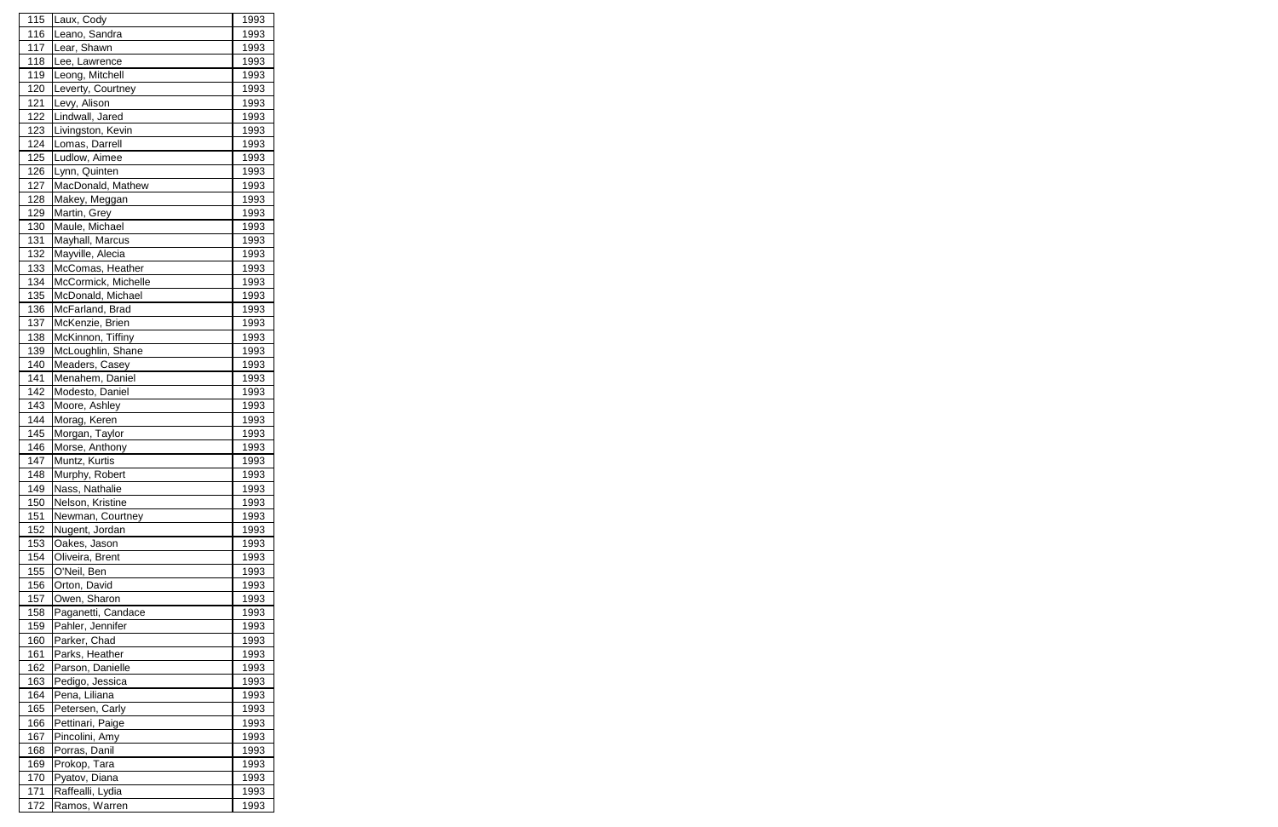| 115        | Laux, Cody          | 1993        |
|------------|---------------------|-------------|
| 116        | Leano, Sandra       | 1993        |
| 117        | Lear, Shawn         | 1993        |
| 118        | Lee, Lawrence       | 1993        |
| 119        | Leong, Mitchell     | 1993        |
| 120        | Leverty, Courtney   | 1993        |
| 121        | Levy, Alison        | 1993        |
| 122        | Lindwall, Jared     | 1993        |
| 123        | Livingston, Kevin   | 1993        |
| 124        | Lomas, Darrell      | 1993        |
| 125        | Ludlow, Aimee       | 1993        |
| 126        | Lynn, Quinten       | 1993        |
| 127        | MacDonald, Mathew   | 1993        |
| 128        | Makey, Meggan       | 1993        |
| 129        | Martin, Grey        | 1993        |
| 130        | Maule, Michael      | 1993        |
| 131        | Mayhall, Marcus     | 1993        |
| 132        | Mayville, Alecia    | 1993        |
| 133        | McComas, Heather    | 1993        |
| 134        | McCormick, Michelle | 1993        |
| 135        | McDonald, Michael   | 1993        |
|            |                     |             |
| 136        | McFarland, Brad     | 1993        |
| 137        | McKenzie, Brien     | 1993        |
| 138        | McKinnon, Tiffiny   | 1993        |
| 139        | McLoughlin, Shane   | 1993        |
| 140        | Meaders, Casey      | 1993        |
| 141        | Menahem, Daniel     | 1993        |
| 142        | Modesto, Daniel     | 1993        |
| 143        | Moore, Ashley       | 1993        |
| 144        | Morag, Keren        | 1993        |
| 145        | Morgan, Taylor      | 1993        |
| 146        | Morse, Anthony      | 1993        |
| 147        | Muntz, Kurtis       | 1993        |
| <u>148</u> | Murphy, Robert      | <u>1993</u> |
| 149        | Nass, Nathalie      | 1993        |
| 150        | Nelson, Kristine    | 1993        |
| 151        | Newman, Courtney    | 1993        |
| 152        | Nugent, Jordan      | 1993        |
| 153        | Oakes, Jason        | 1993        |
| 154        | Oliveira, Brent     | 1993        |
| 155        | O'Neil, Ben         | 1993        |
| 156        | Orton, David        | 1993        |
| 157        | Owen, Sharon        | 1993        |
| 158        | Paganetti, Candace  | 1993        |
| 159        | Pahler, Jennifer    | 1993        |
| 160        | Parker, Chad        | 1993        |
| 161        | Parks, Heather      | 1993        |
| 162        | Parson, Danielle    | 1993        |
| 163        | Pedigo, Jessica     | 1993        |
| 164        | Pena, Liliana       | 1993        |
| 165        | Petersen, Carly     | 1993        |
| 166        | Pettinari, Paige    | 1993        |
| 167        | Pincolini, Amy      | 1993        |
| 168        | Porras, Danil       | 1993        |
| 169        | Prokop, Tara        | 1993        |
| 170        | Pyatov, Diana       | 1993        |
| 171        | Raffealli, Lydia    | 1993        |
| 172        | Ramos, Warren       | 1993        |
|            |                     |             |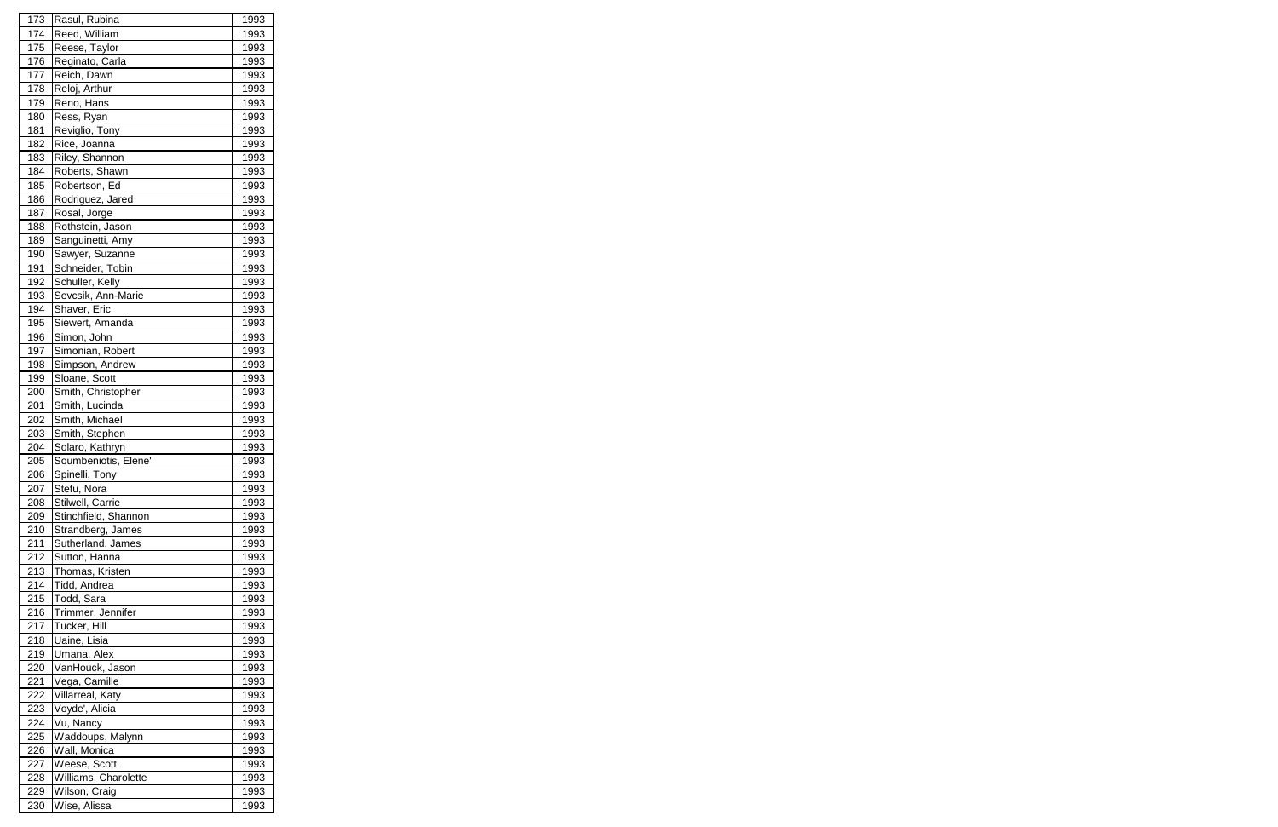| 173 | Rasul, Rubina        | 1993        |
|-----|----------------------|-------------|
| 174 | Reed, William        | 1993        |
| 175 | Reese, Taylor        | 1993        |
| 176 | Reginato, Carla      | 1993        |
| 177 | Reich, Dawn          | 1993        |
| 178 | Reloj, Arthur        | 1993        |
| 179 | Reno, Hans           | 1993        |
| 180 | Ress, Ryan           | 1993        |
| 181 | Reviglio, Tony       | 1993        |
| 182 | Rice, Joanna         | 1993        |
| 183 | Riley, Shannon       | 1993        |
| 184 | Roberts, Shawn       | 1993        |
| 185 | Robertson, Ed        | 1993        |
| 186 | Rodriguez, Jared     | 1993        |
| 187 | Rosal, Jorge         | 1993        |
| 188 | Rothstein, Jason     | 1993        |
| 189 | Sanguinetti, Amy     | 1993        |
| 190 | Sawyer, Suzanne      | 1993        |
| 191 | Schneider, Tobin     | 1993        |
| 192 | Schuller, Kelly      | 1993        |
| 193 | Sevcsik, Ann-Marie   | 1993        |
|     |                      | 1993        |
| 194 | Shaver, Eric         |             |
| 195 | Siewert, Amanda      | 1993        |
| 196 | Simon, John          | 1993        |
| 197 | Simonian, Robert     | 1993        |
| 198 | Simpson, Andrew      | 1993        |
| 199 | Sloane, Scott        | 1993        |
| 200 | Smith, Christopher   | 1993        |
| 201 | Smith, Lucinda       | 1993        |
| 202 | Smith, Michael       | 1993        |
| 203 | Smith, Stephen       | 1993        |
| 204 | Solaro, Kathryn      | 1993        |
| 205 | Soumbeniotis, Elene' | 1993        |
| 206 | Spinelli, Tony       | <u>1993</u> |
| 207 | Stefu, Nora          | 1993        |
| 208 | Stilwell, Carrie     | 1993        |
| 209 | Stinchfield, Shannon | 1993        |
| 210 | Strandberg, James    | 1993        |
| 211 | Sutherland, James    | 1993        |
| 212 | Sutton, Hanna        | 1993        |
| 213 | Thomas, Kristen      | 1993        |
| 214 | Tidd, Andrea         | 1993        |
| 215 | Todd, Sara           | 1993        |
| 216 | Trimmer, Jennifer    | 1993        |
| 217 | Tucker, Hill         | 1993        |
| 218 | Uaine, Lisia         | 1993        |
| 219 | Umana, Alex          | 1993        |
| 220 | VanHouck, Jason      | 1993        |
| 221 | Vega, Camille        | 1993        |
| 222 | Villarreal, Katy     | 1993        |
| 223 | Voyde', Alicia       | 1993        |
| 224 | Vu, Nancy            | 1993        |
| 225 | Waddoups, Malynn     | 1993        |
| 226 | Wall, Monica         | 1993        |
| 227 | Weese, Scott         | 1993        |
| 228 | Williams, Charolette | 1993        |
| 229 | Wilson, Craig        | 1993        |
| 230 | Wise, Alissa         | 1993        |